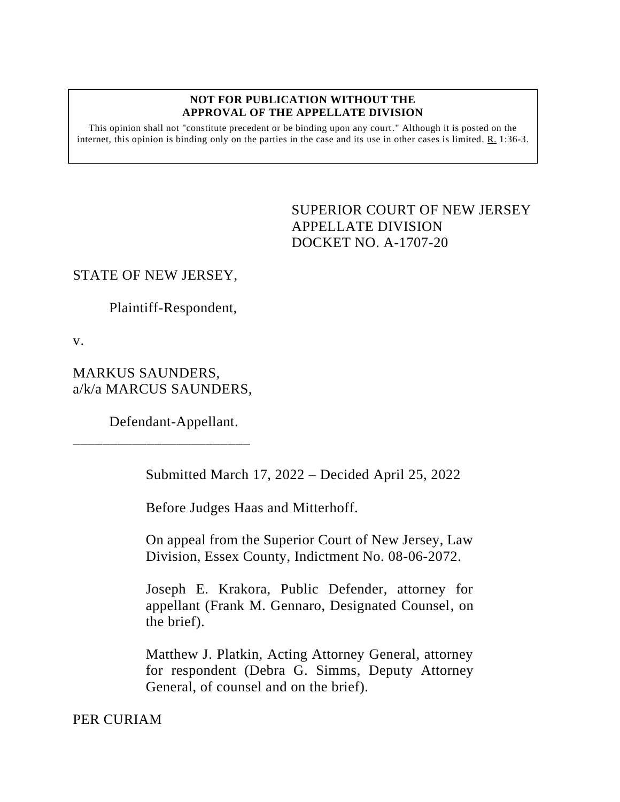#### **NOT FOR PUBLICATION WITHOUT THE APPROVAL OF THE APPELLATE DIVISION**

This opinion shall not "constitute precedent or be binding upon any court." Although it is posted on the internet, this opinion is binding only on the parties in the case and its use in other cases is limited.  $R_1$  1:36-3.

# <span id="page-0-0"></span>SUPERIOR COURT OF NEW JERSEY APPELLATE DIVISION DOCKET NO. A-1707-20

### STATE OF NEW JERSEY,

Plaintiff-Respondent,

v.

# MARKUS SAUNDERS, a/k/a MARCUS SAUNDERS,

\_\_\_\_\_\_\_\_\_\_\_\_\_\_\_\_\_\_\_\_\_\_\_\_

Defendant-Appellant.

Submitted March 17, 2022 – Decided April 25, 2022

Before Judges Haas and Mitterhoff.

On appeal from the Superior Court of New Jersey, Law Division, Essex County, Indictment No. 08-06-2072.

Joseph E. Krakora, Public Defender, attorney for appellant (Frank M. Gennaro, Designated Counsel, on the brief).

Matthew J. Platkin, Acting Attorney General, attorney for respondent (Debra G. Simms, Deputy Attorney General, of counsel and on the brief).

### PER CURIAM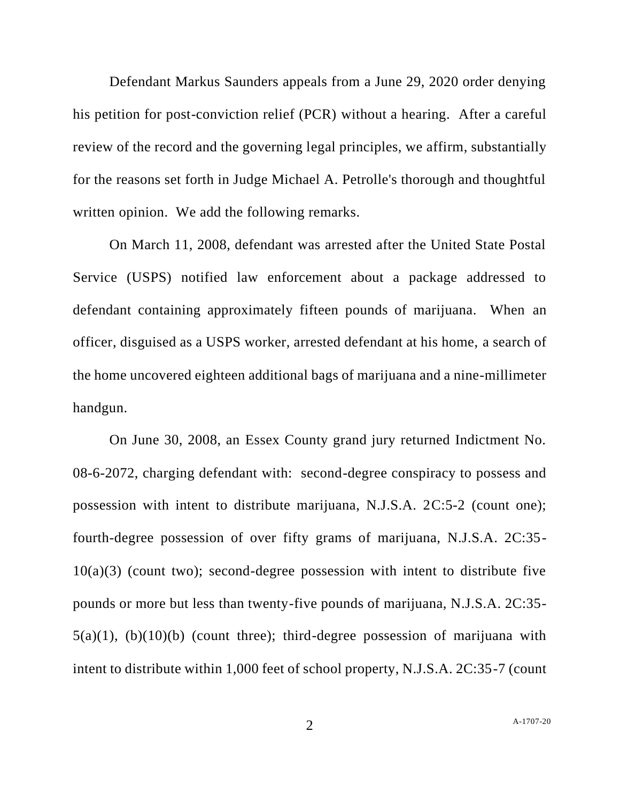Defendant Markus Saunders appeals from a June 29, 2020 order denying his petition for post-conviction relief (PCR) without a hearing. After a careful review of the record and the governing legal principles, we affirm, substantially for the reasons set forth in Judge Michael A. Petrolle's thorough and thoughtful written opinion. We add the following remarks.

On March 11, 2008, defendant was arrested after the United State Postal Service (USPS) notified law enforcement about a package addressed to defendant containing approximately fifteen pounds of marijuana. When an officer, disguised as a USPS worker, arrested defendant at his home, a search of the home uncovered eighteen additional bags of marijuana and a nine-millimeter handgun.

On June 30, 2008, an Essex County grand jury returned Indictment No. 08-6-2072, charging defendant with: second-degree conspiracy to possess and possession with intent to distribute marijuana, N.J.S.A. 2C:5-2 (count one); fourth-degree possession of over fifty grams of marijuana, N.J.S.A. 2C:35-  $10(a)(3)$  (count two); second-degree possession with intent to distribute five pounds or more but less than twenty-five pounds of marijuana, N.J.S.A. 2C:35-  $5(a)(1)$ ,  $(b)(10)(b)$  (count three); third-degree possession of marijuana with intent to distribute within 1,000 feet of school property, N.J.S.A. 2C:35-7 (count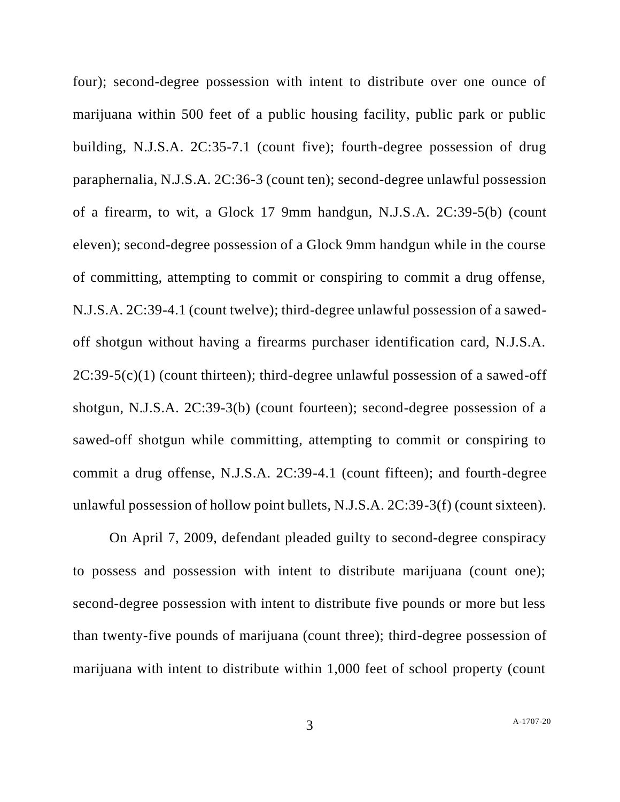four); second-degree possession with intent to distribute over one ounce of marijuana within 500 feet of a public housing facility, public park or public building, N.J.S.A. 2C:35-7.1 (count five); fourth-degree possession of drug paraphernalia, N.J.S.A. 2C:36-3 (count ten); second-degree unlawful possession of a firearm, to wit, a Glock 17 9mm handgun, N.J.S.A. 2C:39-5(b) (count eleven); second-degree possession of a Glock 9mm handgun while in the course of committing, attempting to commit or conspiring to commit a drug offense, N.J.S.A. 2C:39-4.1 (count twelve); third-degree unlawful possession of a sawedoff shotgun without having a firearms purchaser identification card, N.J.S.A.  $2C:39-5(c)(1)$  (count thirteen); third-degree unlawful possession of a sawed-off shotgun, N.J.S.A. 2C:39-3(b) (count fourteen); second-degree possession of a sawed-off shotgun while committing, attempting to commit or conspiring to commit a drug offense, N.J.S.A. 2C:39-4.1 (count fifteen); and fourth-degree unlawful possession of hollow point bullets, N.J.S.A. 2C:39-3(f) (count sixteen).

On April 7, 2009, defendant pleaded guilty to second-degree conspiracy to possess and possession with intent to distribute marijuana (count one); second-degree possession with intent to distribute five pounds or more but less than twenty-five pounds of marijuana (count three); third-degree possession of marijuana with intent to distribute within 1,000 feet of school property (count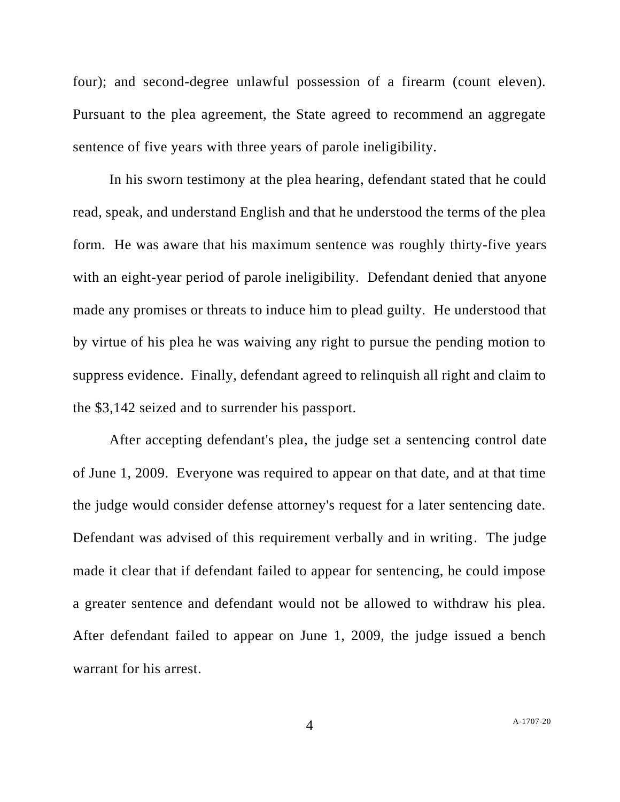four); and second-degree unlawful possession of a firearm (count eleven). Pursuant to the plea agreement, the State agreed to recommend an aggregate sentence of five years with three years of parole ineligibility.

In his sworn testimony at the plea hearing, defendant stated that he could read, speak, and understand English and that he understood the terms of the plea form. He was aware that his maximum sentence was roughly thirty-five years with an eight-year period of parole ineligibility. Defendant denied that anyone made any promises or threats to induce him to plead guilty. He understood that by virtue of his plea he was waiving any right to pursue the pending motion to suppress evidence. Finally, defendant agreed to relinquish all right and claim to the \$3,142 seized and to surrender his passport.

After accepting defendant's plea, the judge set a sentencing control date of June 1, 2009. Everyone was required to appear on that date, and at that time the judge would consider defense attorney's request for a later sentencing date. Defendant was advised of this requirement verbally and in writing. The judge made it clear that if defendant failed to appear for sentencing, he could impose a greater sentence and defendant would not be allowed to withdraw his plea. After defendant failed to appear on June 1, 2009, the judge issued a bench warrant for his arrest.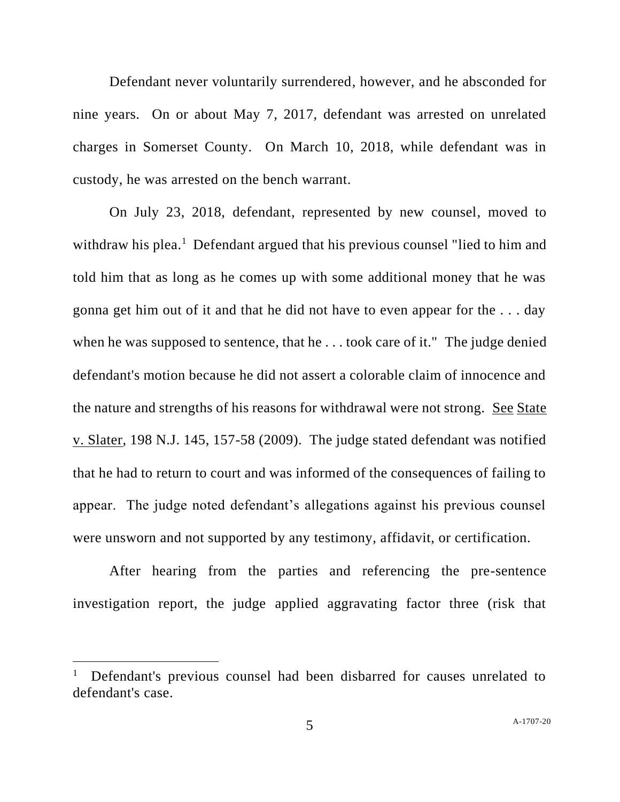Defendant never voluntarily surrendered, however, and he absconded for nine years. On or about May 7, 2017, defendant was arrested on unrelated charges in Somerset County. On March 10, 2018, while defendant was in custody, he was arrested on the bench warrant.

On July 23, 2018, defendant, represented by new counsel, moved to withdraw his plea.<sup>1</sup> Defendant argued that his previous counsel "lied to him and told him that as long as he comes up with some additional money that he was gonna get him out of it and that he did not have to even appear for the . . . day when he was supposed to sentence, that he . . . took care of it." The judge denied defendant's motion because he did not assert a colorable claim of innocence and the nature and strengths of his reasons for withdrawal were not strong. See State v. Slater, 198 N.J. 145, 157-58 (2009). The judge stated defendant was notified that he had to return to court and was informed of the consequences of failing to appear. The judge noted defendant's allegations against his previous counsel were unsworn and not supported by any testimony, affidavit, or certification.

After hearing from the parties and referencing the pre-sentence investigation report, the judge applied aggravating factor three (risk that

<sup>1</sup> Defendant's previous counsel had been disbarred for causes unrelated to defendant's case.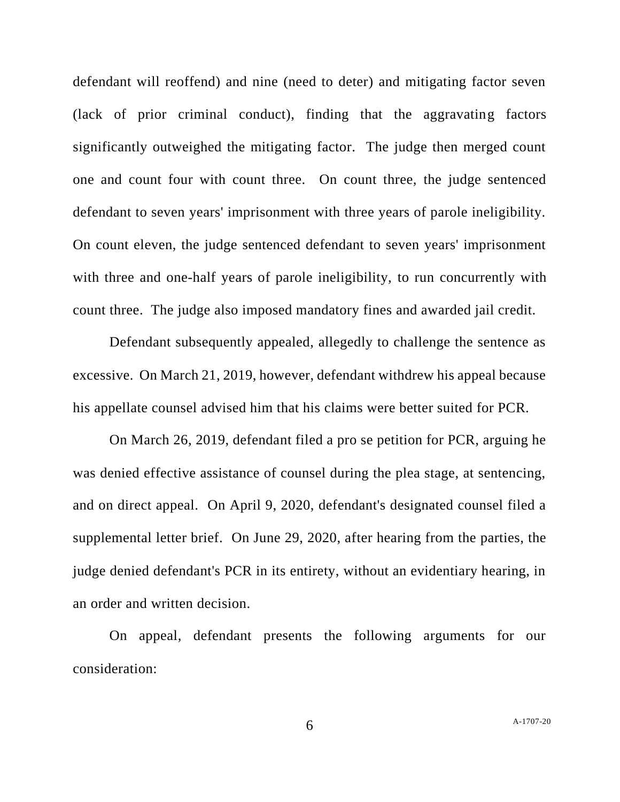defendant will reoffend) and nine (need to deter) and mitigating factor seven (lack of prior criminal conduct), finding that the aggravating factors significantly outweighed the mitigating factor. The judge then merged count one and count four with count three. On count three, the judge sentenced defendant to seven years' imprisonment with three years of parole ineligibility. On count eleven, the judge sentenced defendant to seven years' imprisonment with three and one-half years of parole ineligibility, to run concurrently with count three. The judge also imposed mandatory fines and awarded jail credit.

Defendant subsequently appealed, allegedly to challenge the sentence as excessive. On March 21, 2019, however, defendant withdrew his appeal because his appellate counsel advised him that his claims were better suited for PCR.

On March 26, 2019, defendant filed a pro se petition for PCR, arguing he was denied effective assistance of counsel during the plea stage, at sentencing, and on direct appeal. On April 9, 2020, defendant's designated counsel filed a supplemental letter brief. On June 29, 2020, after hearing from the parties, the judge denied defendant's PCR in its entirety, without an evidentiary hearing, in an order and written decision.

On appeal, defendant presents the following arguments for our consideration: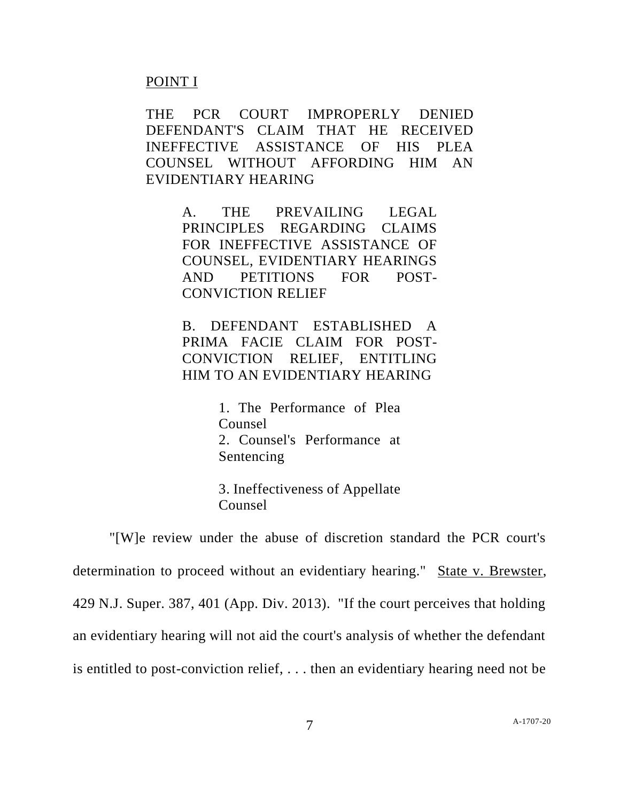#### POINT I

THE PCR COURT IMPROPERLY DENIED DEFENDANT'S CLAIM THAT HE RECEIVED INEFFECTIVE ASSISTANCE OF HIS PLEA COUNSEL WITHOUT AFFORDING HIM AN EVIDENTIARY HEARING

> A. THE PREVAILING LEGAL PRINCIPLES REGARDING CLAIMS FOR INEFFECTIVE ASSISTANCE OF COUNSEL, EVIDENTIARY HEARINGS AND PETITIONS FOR POST-CONVICTION RELIEF

B. DEFENDANT ESTABLISHED A PRIMA FACIE CLAIM FOR POST-CONVICTION RELIEF, ENTITLING HIM TO AN EVIDENTIARY HEARING

> 1. The Performance of Plea Counsel 2. Counsel's Performance at Sentencing

3. Ineffectiveness of Appellate Counsel

"[W]e review under the abuse of discretion standard the PCR court's determination to proceed without an evidentiary hearing." State v. Brewster, 429 N.J. Super. 387, 401 (App. Div. 2013). "If the court perceives that holding an evidentiary hearing will not aid the court's analysis of whether the defendant is entitled to post-conviction relief, . . . then an evidentiary hearing need not be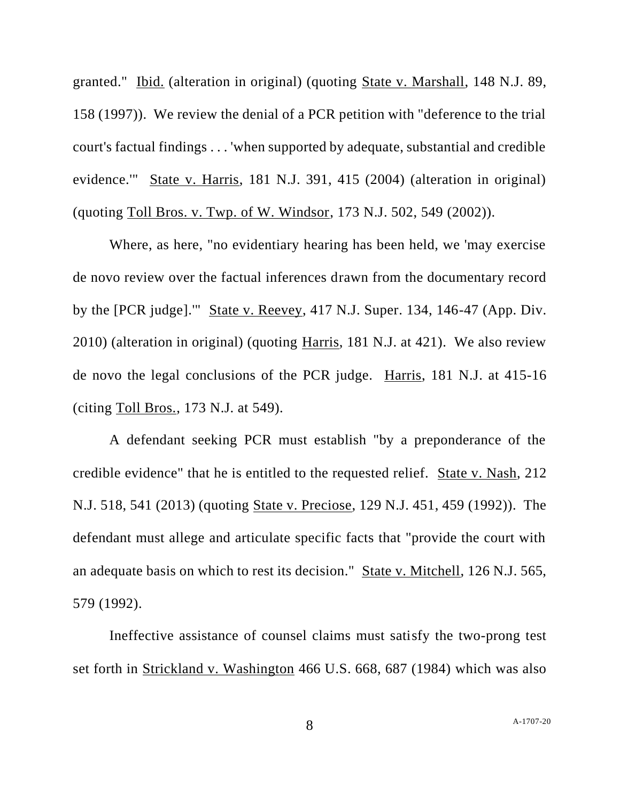granted." Ibid. (alteration in original) (quoting State v. Marshall, 148 N.J. 89, 158 (1997)). We review the denial of a PCR petition with "deference to the trial court's factual findings . . . 'when supported by adequate, substantial and credible evidence.'" State v. Harris, 181 N.J. 391, 415 (2004) (alteration in original) (quoting Toll Bros. v. Twp. of W. Windsor, 173 N.J. 502, 549 (2002)).

Where, as here, "no evidentiary hearing has been held, we 'may exercise de novo review over the factual inferences drawn from the documentary record by the [PCR judge].'" State v. Reevey, 417 N.J. Super. 134, 146-47 (App. Div. 2010) (alteration in original) (quoting Harris, 181 N.J. at 421). We also review de novo the legal conclusions of the PCR judge. Harris, 181 N.J. at 415-16 (citing Toll Bros., 173 N.J. at 549).

A defendant seeking PCR must establish "by a preponderance of the credible evidence" that he is entitled to the requested relief. State v. Nash, 212 N.J. 518, 541 (2013) (quoting State v. Preciose, 129 N.J. 451, 459 (1992)). The defendant must allege and articulate specific facts that "provide the court with an adequate basis on which to rest its decision." State v. Mitchell, 126 N.J. 565, 579 (1992).

Ineffective assistance of counsel claims must satisfy the two-prong test set forth in Strickland v. Washington 466 U.S. 668, 687 (1984) which was also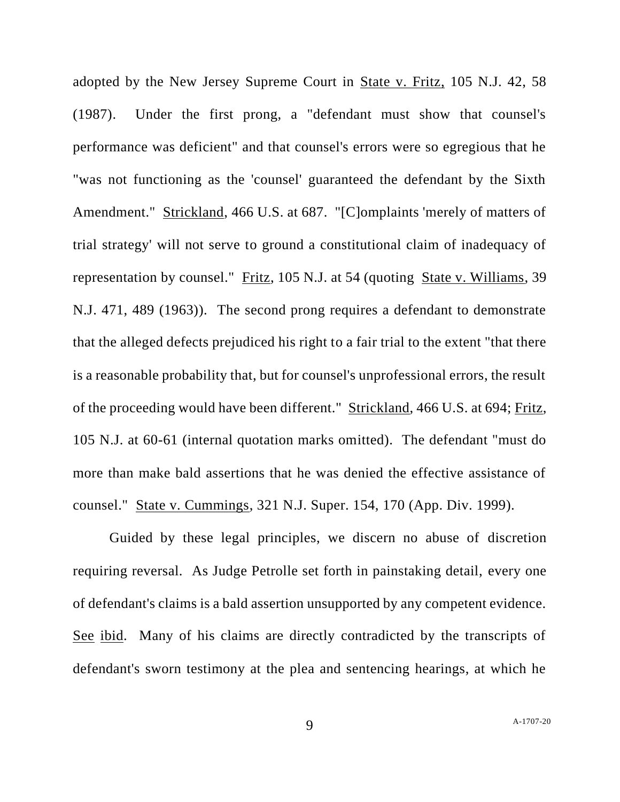adopted by the New Jersey Supreme Court in State v. Fritz, 105 N.J. 42, 58 (1987). Under the first prong, a "defendant must show that counsel's performance was deficient" and that counsel's errors were so egregious that he "was not functioning as the 'counsel' guaranteed the defendant by the Sixth Amendment." Strickland, 466 U.S. at 687. "[C]omplaints 'merely of matters of trial strategy' will not serve to ground a constitutional claim of inadequacy of representation by counsel." Fritz, 105 N.J. at 54 (quoting State v. Williams, 39 N.J. 471, 489 (1963)). The second prong requires a defendant to demonstrate that the alleged defects prejudiced his right to a fair trial to the extent "that there is a reasonable probability that, but for counsel's unprofessional errors, the result of the proceeding would have been different." Strickland, 466 U.S. at 694; Fritz, 105 N.J. at 60-61 (internal quotation marks omitted). The defendant "must do more than make bald assertions that he was denied the effective assistance of counsel." State v. Cummings, 321 N.J. Super. 154, 170 (App. Div. 1999).

Guided by these legal principles, we discern no abuse of discretion requiring reversal. As Judge Petrolle set forth in painstaking detail, every one of defendant's claims is a bald assertion unsupported by any competent evidence. See ibid. Many of his claims are directly contradicted by the transcripts of defendant's sworn testimony at the plea and sentencing hearings, at which he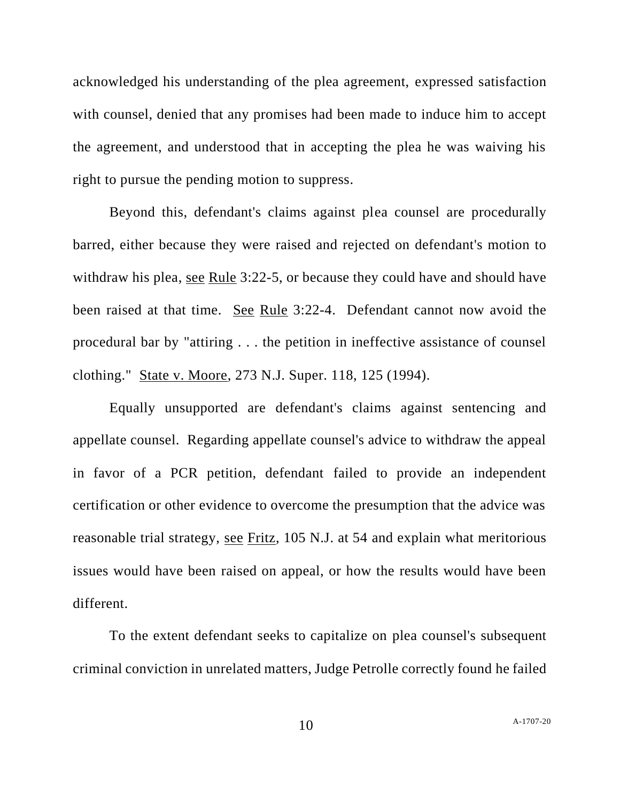acknowledged his understanding of the plea agreement, expressed satisfaction with counsel, denied that any promises had been made to induce him to accept the agreement, and understood that in accepting the plea he was waiving his right to pursue the pending motion to suppress.

Beyond this, defendant's claims against plea counsel are procedurally barred, either because they were raised and rejected on defendant's motion to withdraw his plea, see Rule 3:22-5, or because they could have and should have been raised at that time. See Rule 3:22-4. Defendant cannot now avoid the procedural bar by "attiring . . . the petition in ineffective assistance of counsel clothing." State v. Moore, 273 N.J. Super. 118, 125 (1994).

Equally unsupported are defendant's claims against sentencing and appellate counsel. Regarding appellate counsel's advice to withdraw the appeal in favor of a PCR petition, defendant failed to provide an independent certification or other evidence to overcome the presumption that the advice was reasonable trial strategy, see Fritz, 105 N.J. at 54 and explain what meritorious issues would have been raised on appeal, or how the results would have been different.

To the extent defendant seeks to capitalize on plea counsel's subsequent criminal conviction in unrelated matters, Judge Petrolle correctly found he failed